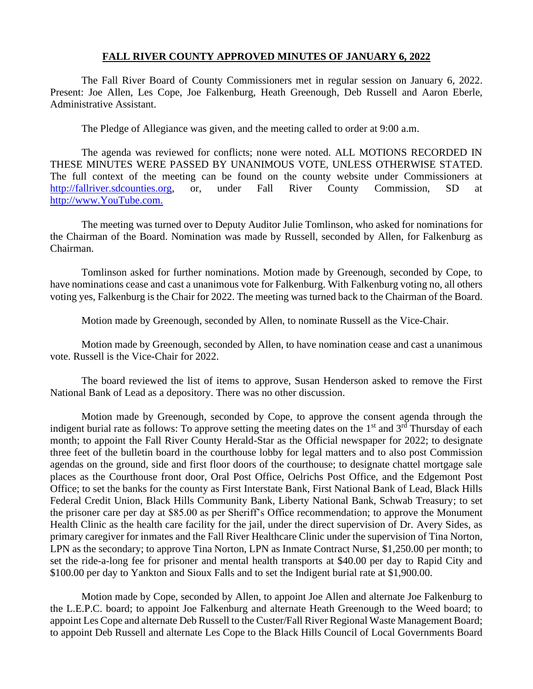### **FALL RIVER COUNTY APPROVED MINUTES OF JANUARY 6, 2022**

The Fall River Board of County Commissioners met in regular session on January 6, 2022. Present: Joe Allen, Les Cope, Joe Falkenburg, Heath Greenough, Deb Russell and Aaron Eberle, Administrative Assistant.

The Pledge of Allegiance was given, and the meeting called to order at 9:00 a.m.

The agenda was reviewed for conflicts; none were noted. ALL MOTIONS RECORDED IN THESE MINUTES WERE PASSED BY UNANIMOUS VOTE, UNLESS OTHERWISE STATED. The full context of the meeting can be found on the county website under Commissioners at [http://fallriver.sdcounties.org,](http://fallriver.sdcounties.org/) or, under Fall River County Commission, SD at [http://www.YouTube.com.](http://www.youtube.com/)

The meeting was turned over to Deputy Auditor Julie Tomlinson, who asked for nominations for the Chairman of the Board. Nomination was made by Russell, seconded by Allen, for Falkenburg as Chairman.

Tomlinson asked for further nominations. Motion made by Greenough, seconded by Cope, to have nominations cease and cast a unanimous vote for Falkenburg. With Falkenburg voting no, all others voting yes, Falkenburg is the Chair for 2022. The meeting was turned back to the Chairman of the Board.

Motion made by Greenough, seconded by Allen, to nominate Russell as the Vice-Chair.

Motion made by Greenough, seconded by Allen, to have nomination cease and cast a unanimous vote. Russell is the Vice-Chair for 2022.

The board reviewed the list of items to approve, Susan Henderson asked to remove the First National Bank of Lead as a depository. There was no other discussion.

Motion made by Greenough, seconded by Cope, to approve the consent agenda through the indigent burial rate as follows: To approve setting the meeting dates on the  $1<sup>st</sup>$  and  $3<sup>rd</sup>$  Thursday of each month; to appoint the Fall River County Herald-Star as the Official newspaper for 2022; to designate three feet of the bulletin board in the courthouse lobby for legal matters and to also post Commission agendas on the ground, side and first floor doors of the courthouse; to designate chattel mortgage sale places as the Courthouse front door, Oral Post Office, Oelrichs Post Office, and the Edgemont Post Office; to set the banks for the county as First Interstate Bank, First National Bank of Lead, Black Hills Federal Credit Union, Black Hills Community Bank, Liberty National Bank, Schwab Treasury; to set the prisoner care per day at \$85.00 as per Sheriff's Office recommendation; to approve the Monument Health Clinic as the health care facility for the jail, under the direct supervision of Dr. Avery Sides, as primary caregiver for inmates and the Fall River Healthcare Clinic under the supervision of Tina Norton, LPN as the secondary; to approve Tina Norton, LPN as Inmate Contract Nurse, \$1,250.00 per month; to set the ride-a-long fee for prisoner and mental health transports at \$40.00 per day to Rapid City and \$100.00 per day to Yankton and Sioux Falls and to set the Indigent burial rate at \$1,900.00.

Motion made by Cope, seconded by Allen, to appoint Joe Allen and alternate Joe Falkenburg to the L.E.P.C. board; to appoint Joe Falkenburg and alternate Heath Greenough to the Weed board; to appoint Les Cope and alternate Deb Russell to the Custer/Fall River Regional Waste Management Board; to appoint Deb Russell and alternate Les Cope to the Black Hills Council of Local Governments Board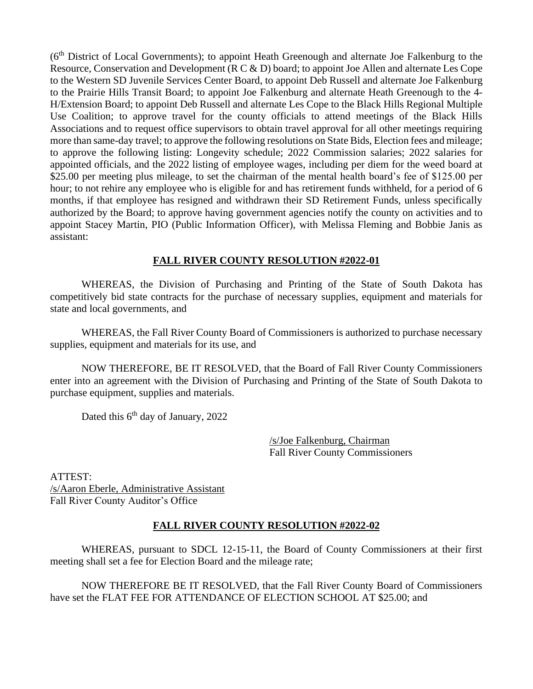(6th District of Local Governments); to appoint Heath Greenough and alternate Joe Falkenburg to the Resource, Conservation and Development (R C & D) board; to appoint Joe Allen and alternate Les Cope to the Western SD Juvenile Services Center Board, to appoint Deb Russell and alternate Joe Falkenburg to the Prairie Hills Transit Board; to appoint Joe Falkenburg and alternate Heath Greenough to the 4- H/Extension Board; to appoint Deb Russell and alternate Les Cope to the Black Hills Regional Multiple Use Coalition; to approve travel for the county officials to attend meetings of the Black Hills Associations and to request office supervisors to obtain travel approval for all other meetings requiring more than same-day travel; to approve the following resolutions on State Bids, Election fees and mileage; to approve the following listing: Longevity schedule; 2022 Commission salaries; 2022 salaries for appointed officials, and the 2022 listing of employee wages, including per diem for the weed board at \$25.00 per meeting plus mileage, to set the chairman of the mental health board's fee of \$125.00 per hour; to not rehire any employee who is eligible for and has retirement funds withheld, for a period of 6 months, if that employee has resigned and withdrawn their SD Retirement Funds, unless specifically authorized by the Board; to approve having government agencies notify the county on activities and to appoint Stacey Martin, PIO (Public Information Officer), with Melissa Fleming and Bobbie Janis as assistant:

# **FALL RIVER COUNTY RESOLUTION #2022-01**

WHEREAS, the Division of Purchasing and Printing of the State of South Dakota has competitively bid state contracts for the purchase of necessary supplies, equipment and materials for state and local governments, and

WHEREAS, the Fall River County Board of Commissioners is authorized to purchase necessary supplies, equipment and materials for its use, and

NOW THEREFORE, BE IT RESOLVED, that the Board of Fall River County Commissioners enter into an agreement with the Division of Purchasing and Printing of the State of South Dakota to purchase equipment, supplies and materials.

Dated this  $6<sup>th</sup>$  day of January, 2022

/s/Joe Falkenburg, Chairman Fall River County Commissioners

ATTEST: /s/Aaron Eberle, Administrative Assistant Fall River County Auditor's Office

# **FALL RIVER COUNTY RESOLUTION #2022-02**

WHEREAS, pursuant to SDCL 12-15-11, the Board of County Commissioners at their first meeting shall set a fee for Election Board and the mileage rate;

NOW THEREFORE BE IT RESOLVED, that the Fall River County Board of Commissioners have set the FLAT FEE FOR ATTENDANCE OF ELECTION SCHOOL AT \$25.00; and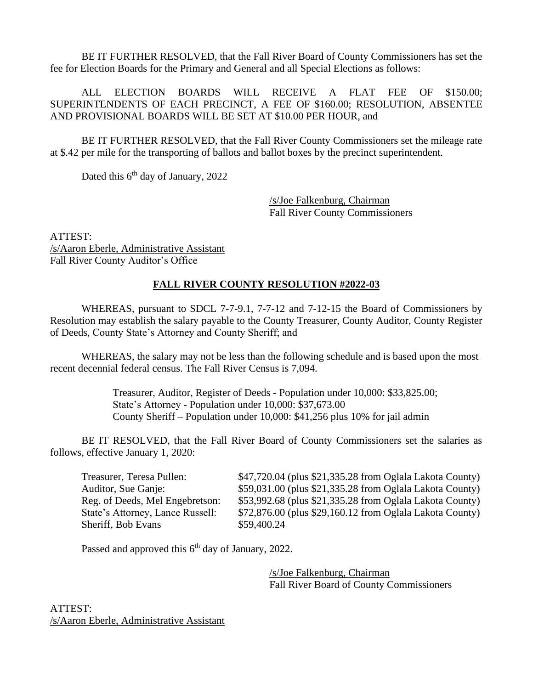BE IT FURTHER RESOLVED, that the Fall River Board of County Commissioners has set the fee for Election Boards for the Primary and General and all Special Elections as follows:

ALL ELECTION BOARDS WILL RECEIVE A FLAT FEE OF \$150.00; SUPERINTENDENTS OF EACH PRECINCT, A FEE OF \$160.00; RESOLUTION, ABSENTEE AND PROVISIONAL BOARDS WILL BE SET AT \$10.00 PER HOUR, and

BE IT FURTHER RESOLVED, that the Fall River County Commissioners set the mileage rate at \$.42 per mile for the transporting of ballots and ballot boxes by the precinct superintendent.

Dated this  $6<sup>th</sup>$  day of January, 2022

/s/Joe Falkenburg, Chairman Fall River County Commissioners

ATTEST: /s/Aaron Eberle, Administrative Assistant Fall River County Auditor's Office

# **FALL RIVER COUNTY RESOLUTION #2022-03**

WHEREAS, pursuant to SDCL 7-7-9.1, 7-7-12 and 7-12-15 the Board of Commissioners by Resolution may establish the salary payable to the County Treasurer, County Auditor, County Register of Deeds, County State's Attorney and County Sheriff; and

WHEREAS, the salary may not be less than the following schedule and is based upon the most recent decennial federal census. The Fall River Census is 7,094.

> Treasurer, Auditor, Register of Deeds - Population under 10,000: \$33,825.00; State's Attorney - Population under 10,000: \$37,673.00 County Sheriff – Population under 10,000: \$41,256 plus 10% for jail admin

BE IT RESOLVED, that the Fall River Board of County Commissioners set the salaries as follows, effective January 1, 2020:

Sheriff, Bob Evans \$59,400.24

Treasurer, Teresa Pullen: \$47,720.04 (plus \$21,335.28 from Oglala Lakota County) Auditor, Sue Ganje:  $$59,031.00$  (plus \$21,335.28 from Oglala Lakota County) Reg. of Deeds, Mel Engebretson: \$53,992.68 (plus \$21,335.28 from Oglala Lakota County) State's Attorney, Lance Russell: \$72,876.00 (plus \$29,160.12 from Oglala Lakota County)

Passed and approved this  $6<sup>th</sup>$  day of January, 2022.

/s/Joe Falkenburg, Chairman Fall River Board of County Commissioners

ATTEST: /s/Aaron Eberle, Administrative Assistant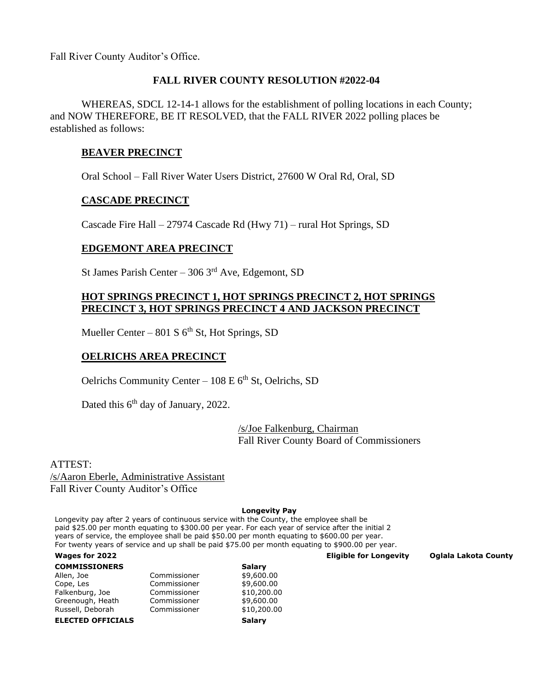Fall River County Auditor's Office.

# **FALL RIVER COUNTY RESOLUTION #2022-04**

WHEREAS, SDCL 12-14-1 allows for the establishment of polling locations in each County; and NOW THEREFORE, BE IT RESOLVED, that the FALL RIVER 2022 polling places be established as follows:

# **BEAVER PRECINCT**

Oral School – Fall River Water Users District, 27600 W Oral Rd, Oral, SD

# **CASCADE PRECINCT**

Cascade Fire Hall – 27974 Cascade Rd (Hwy 71) – rural Hot Springs, SD

# **EDGEMONT AREA PRECINCT**

St James Parish Center – 306  $3<sup>rd</sup>$  Ave, Edgemont, SD

# **HOT SPRINGS PRECINCT 1, HOT SPRINGS PRECINCT 2, HOT SPRINGS PRECINCT 3, HOT SPRINGS PRECINCT 4 AND JACKSON PRECINCT**

Mueller Center – 801 S  $6<sup>th</sup>$  St, Hot Springs, SD

# **OELRICHS AREA PRECINCT**

Oelrichs Community Center –  $108 E 6<sup>th</sup>$  St, Oelrichs, SD

Dated this 6<sup>th</sup> day of January, 2022.

/s/Joe Falkenburg, Chairman Fall River County Board of Commissioners

ATTEST: /s/Aaron Eberle, Administrative Assistant Fall River County Auditor's Office

#### **Longevity Pay**

Longevity pay after 2 years of continuous service with the County, the employee shall be paid \$25.00 per month equating to \$300.00 per year. For each year of service after the initial 2 years of service, the employee shall be paid \$50.00 per month equating to \$600.00 per year. For twenty years of service and up shall be paid \$75.00 per month equating to \$900.00 per year.

#### **Wages for 2022 Eligible for Longevity Oglala Lakota County**

| <b>COMMISSIONERS</b>     |              | Salary      |
|--------------------------|--------------|-------------|
| Allen, Joe               | Commissioner | \$9,600.00  |
| Cope, Les                | Commissioner | \$9,600.00  |
| Falkenburg, Joe          | Commissioner | \$10,200.00 |
| Greenough, Heath         | Commissioner | \$9,600.00  |
| Russell, Deborah         | Commissioner | \$10,200.00 |
| <b>ELECTED OFFICIALS</b> | Salary       |             |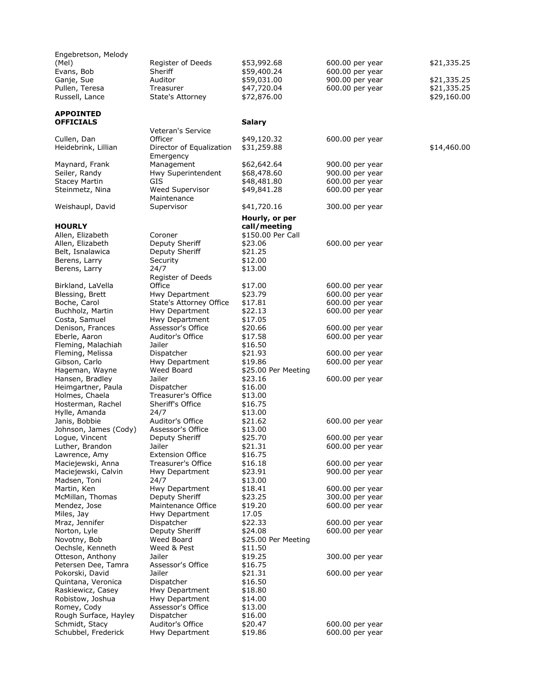| Engebretson, Melody                     |                                |                     |                 |             |
|-----------------------------------------|--------------------------------|---------------------|-----------------|-------------|
| (Mel)                                   | Register of Deeds              | \$53,992.68         | 600.00 per year | \$21,335.25 |
| Evans, Bob                              | Sheriff                        | \$59,400.24         | 600.00 per year |             |
| Ganje, Sue                              | Auditor                        | \$59,031.00         | 900.00 per year | \$21,335.25 |
| Pullen, Teresa                          | Treasurer                      | \$47,720.04         | 600.00 per year | \$21,335.25 |
| Russell, Lance                          | State's Attorney               | \$72,876.00         |                 | \$29,160.00 |
|                                         |                                |                     |                 |             |
| <b>APPOINTED</b>                        |                                |                     |                 |             |
| <b>OFFICIALS</b>                        |                                | <b>Salary</b>       |                 |             |
|                                         | Veteran's Service              |                     |                 |             |
| Cullen, Dan                             | Officer                        | \$49,120.32         | 600.00 per year |             |
| Heidebrink, Lillian                     | Director of Equalization       | \$31,259.88         |                 | \$14,460.00 |
|                                         | Emergency                      |                     |                 |             |
| Maynard, Frank                          | Management                     | \$62,642.64         | 900.00 per year |             |
| Seiler, Randy                           | Hwy Superintendent             | \$68,478.60         | 900.00 per year |             |
| <b>Stacey Martin</b>                    | GIS                            | \$48,481.80         | 600.00 per year |             |
| Steinmetz, Nina                         | Weed Supervisor<br>Maintenance | \$49,841.28         | 600.00 per year |             |
| Weishaupl, David                        | Supervisor                     | \$41,720.16         | 300.00 per year |             |
|                                         |                                |                     |                 |             |
|                                         |                                | Hourly, or per      |                 |             |
| <b>HOURLY</b>                           |                                | call/meeting        |                 |             |
| Allen, Elizabeth                        | Coroner                        | \$150.00 Per Call   |                 |             |
| Allen, Elizabeth                        | Deputy Sheriff                 | \$23.06             | 600.00 per year |             |
| Belt, Isnalawica                        | Deputy Sheriff                 | \$21.25             |                 |             |
| Berens, Larry                           | Security<br>24/7               | \$12.00<br>\$13.00  |                 |             |
| Berens, Larry                           | Register of Deeds              |                     |                 |             |
| Birkland, LaVella                       | Office                         | \$17.00             | 600.00 per year |             |
| Blessing, Brett                         | Hwy Department                 | \$23.79             | 600.00 per year |             |
| Boche, Carol                            | State's Attorney Office        | \$17.81             | 600.00 per year |             |
| Buchholz, Martin                        | Hwy Department                 | \$22.13             | 600.00 per year |             |
| Costa, Samuel                           | Hwy Department                 | \$17.05             |                 |             |
| Denison, Frances                        | Assessor's Office              | \$20.66             | 600.00 per year |             |
| Eberle, Aaron                           | Auditor's Office               | \$17.58             | 600.00 per year |             |
| Fleming, Malachiah                      | Jailer                         | \$16.50             |                 |             |
| Fleming, Melissa                        | Dispatcher                     | \$21.93             | 600.00 per year |             |
| Gibson, Carlo                           | Hwy Department                 | \$19.86             | 600.00 per year |             |
| Hageman, Wayne                          | Weed Board                     | \$25.00 Per Meeting |                 |             |
| Hansen, Bradley                         | Jailer                         | \$23.16             | 600.00 per year |             |
| Heimgartner, Paula                      | Dispatcher                     | \$16.00             |                 |             |
| Holmes, Chaela                          | Treasurer's Office             | \$13.00             |                 |             |
| Hosterman, Rachel                       | Sheriff's Office               | \$16.75             |                 |             |
| Hylle, Amanda                           | 24/7<br>Auditor's Office       | \$13.00<br>\$21.62  |                 |             |
| Janis, Bobbie<br>Johnson, James (Cody)  | Assessor's Office              | \$13.00             | 600.00 per year |             |
| Logue, Vincent                          | Deputy Sheriff                 | \$25.70             | 600.00 per year |             |
| Luther, Brandon                         | Jailer                         | \$21.31             | 600.00 per year |             |
| Lawrence, Amy                           | <b>Extension Office</b>        | \$16.75             |                 |             |
| Maciejewski, Anna                       | Treasurer's Office             | \$16.18             | 600.00 per year |             |
| Maciejewski, Calvin                     | Hwy Department                 | \$23.91             | 900.00 per year |             |
| Madsen, Toni                            | 24/7                           | \$13.00             |                 |             |
| Martin, Ken                             | Hwy Department                 | \$18.41             | 600.00 per year |             |
| McMillan, Thomas                        | Deputy Sheriff                 | \$23.25             | 300.00 per year |             |
| Mendez, Jose                            | Maintenance Office             | \$19.20             | 600.00 per year |             |
| Miles, Jay                              | Hwy Department                 | 17.05               |                 |             |
| Mraz, Jennifer                          | Dispatcher                     | \$22.33             | 600.00 per year |             |
| Norton, Lyle                            | Deputy Sheriff                 | \$24.08             | 600.00 per year |             |
| Novotny, Bob                            | Weed Board                     | \$25.00 Per Meeting |                 |             |
| Oechsle, Kenneth                        | Weed & Pest                    | \$11.50             |                 |             |
| Otteson, Anthony                        | Jailer                         | \$19.25             | 300.00 per year |             |
| Petersen Dee, Tamra                     | Assessor's Office              | \$16.75             |                 |             |
| Pokorski, David                         | Jailer                         | \$21.31             | 600.00 per year |             |
| Quintana, Veronica<br>Raskiewicz, Casey | Dispatcher<br>Hwy Department   | \$16.50<br>\$18.80  |                 |             |
| Robistow, Joshua                        | Hwy Department                 | \$14.00             |                 |             |
| Romey, Cody                             | Assessor's Office              | \$13.00             |                 |             |
| Rough Surface, Hayley                   | Dispatcher                     | \$16.00             |                 |             |
| Schmidt, Stacy                          | Auditor's Office               | \$20.47             | 600.00 per year |             |
| Schubbel, Frederick                     | Hwy Department                 | \$19.86             | 600.00 per year |             |
|                                         |                                |                     |                 |             |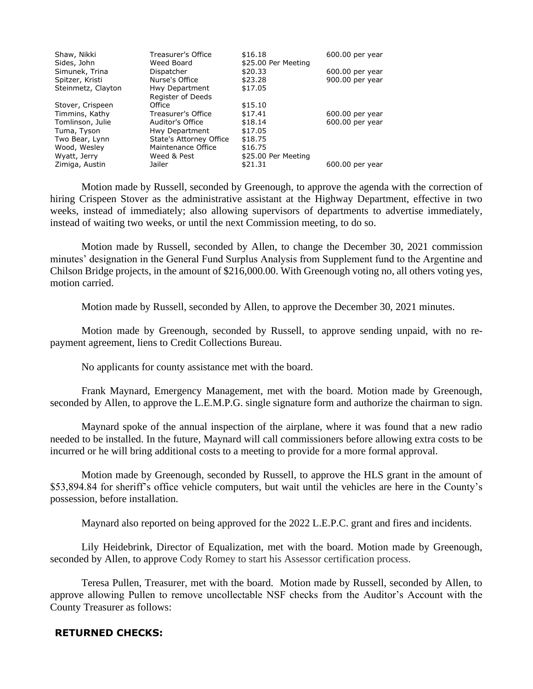| Shaw, Nikki        | Treasurer's Office      | \$16.18             | 600.00 per year |
|--------------------|-------------------------|---------------------|-----------------|
| Sides, John        | Weed Board              | \$25.00 Per Meeting |                 |
| Simunek, Trina     | Dispatcher              | \$20.33             | 600.00 per year |
| Spitzer, Kristi    | Nurse's Office          | \$23.28             | 900.00 per year |
| Steinmetz, Clayton | Hwy Department          | \$17.05             |                 |
|                    | Register of Deeds       |                     |                 |
| Stover, Crispeen   | Office                  | \$15.10             |                 |
| Timmins, Kathy     | Treasurer's Office      | \$17.41             | 600.00 per year |
| Tomlinson, Julie   | Auditor's Office        | \$18.14             | 600.00 per year |
| Tuma, Tyson        | Hwy Department          | \$17.05             |                 |
| Two Bear, Lynn     | State's Attorney Office | \$18.75             |                 |
| Wood, Wesley       | Maintenance Office      | \$16.75             |                 |
| Wyatt, Jerry       | Weed & Pest             | \$25.00 Per Meeting |                 |
| Zimiga, Austin     | Jailer                  | \$21.31             | 600.00 per year |

Motion made by Russell, seconded by Greenough, to approve the agenda with the correction of hiring Crispeen Stover as the administrative assistant at the Highway Department, effective in two weeks, instead of immediately; also allowing supervisors of departments to advertise immediately, instead of waiting two weeks, or until the next Commission meeting, to do so.

Motion made by Russell, seconded by Allen, to change the December 30, 2021 commission minutes' designation in the General Fund Surplus Analysis from Supplement fund to the Argentine and Chilson Bridge projects, in the amount of \$216,000.00. With Greenough voting no, all others voting yes, motion carried.

Motion made by Russell, seconded by Allen, to approve the December 30, 2021 minutes.

Motion made by Greenough, seconded by Russell, to approve sending unpaid, with no repayment agreement, liens to Credit Collections Bureau.

No applicants for county assistance met with the board.

Frank Maynard, Emergency Management, met with the board. Motion made by Greenough, seconded by Allen, to approve the L.E.M.P.G. single signature form and authorize the chairman to sign.

Maynard spoke of the annual inspection of the airplane, where it was found that a new radio needed to be installed. In the future, Maynard will call commissioners before allowing extra costs to be incurred or he will bring additional costs to a meeting to provide for a more formal approval.

Motion made by Greenough, seconded by Russell, to approve the HLS grant in the amount of \$53,894.84 for sheriff's office vehicle computers, but wait until the vehicles are here in the County's possession, before installation.

Maynard also reported on being approved for the 2022 L.E.P.C. grant and fires and incidents.

Lily Heidebrink, Director of Equalization, met with the board. Motion made by Greenough, seconded by Allen, to approve Cody Romey to start his Assessor certification process.

Teresa Pullen, Treasurer, met with the board. Motion made by Russell, seconded by Allen, to approve allowing Pullen to remove uncollectable NSF checks from the Auditor's Account with the County Treasurer as follows:

# **RETURNED CHECKS:**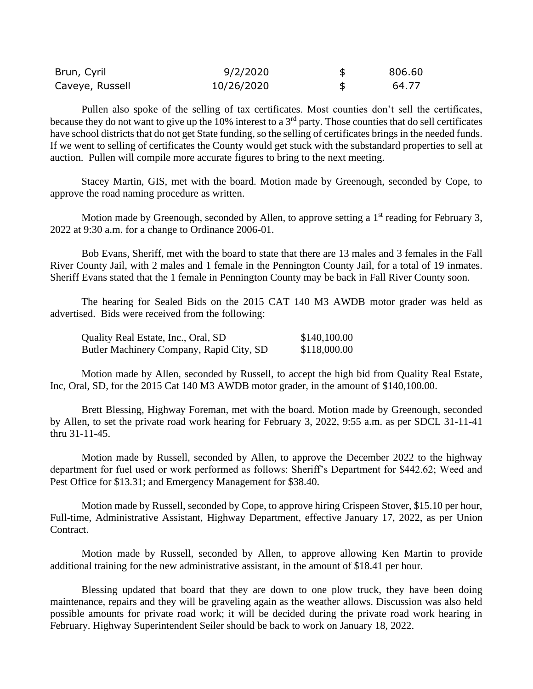| Brun, Cyril     | 9/2/2020   | 806.60 |
|-----------------|------------|--------|
| Caveye, Russell | 10/26/2020 | 64.77  |

Pullen also spoke of the selling of tax certificates. Most counties don't sell the certificates, because they do not want to give up the 10% interest to a 3<sup>rd</sup> party. Those counties that do sell certificates have school districts that do not get State funding, so the selling of certificates brings in the needed funds. If we went to selling of certificates the County would get stuck with the substandard properties to sell at auction. Pullen will compile more accurate figures to bring to the next meeting.

Stacey Martin, GIS, met with the board. Motion made by Greenough, seconded by Cope, to approve the road naming procedure as written.

Motion made by Greenough, seconded by Allen, to approve setting a  $1<sup>st</sup>$  reading for February 3, 2022 at 9:30 a.m. for a change to Ordinance 2006-01.

Bob Evans, Sheriff, met with the board to state that there are 13 males and 3 females in the Fall River County Jail, with 2 males and 1 female in the Pennington County Jail, for a total of 19 inmates. Sheriff Evans stated that the 1 female in Pennington County may be back in Fall River County soon.

The hearing for Sealed Bids on the 2015 CAT 140 M3 AWDB motor grader was held as advertised. Bids were received from the following:

| Quality Real Estate, Inc., Oral, SD      | \$140,100.00 |
|------------------------------------------|--------------|
| Butler Machinery Company, Rapid City, SD | \$118,000.00 |

Motion made by Allen, seconded by Russell, to accept the high bid from Quality Real Estate, Inc, Oral, SD, for the 2015 Cat 140 M3 AWDB motor grader, in the amount of \$140,100.00.

Brett Blessing, Highway Foreman, met with the board. Motion made by Greenough, seconded by Allen, to set the private road work hearing for February 3, 2022, 9:55 a.m. as per SDCL 31-11-41 thru 31-11-45.

Motion made by Russell, seconded by Allen, to approve the December 2022 to the highway department for fuel used or work performed as follows: Sheriff's Department for \$442.62; Weed and Pest Office for \$13.31; and Emergency Management for \$38.40.

Motion made by Russell, seconded by Cope, to approve hiring Crispeen Stover, \$15.10 per hour, Full-time, Administrative Assistant, Highway Department, effective January 17, 2022, as per Union Contract.

Motion made by Russell, seconded by Allen, to approve allowing Ken Martin to provide additional training for the new administrative assistant, in the amount of \$18.41 per hour.

Blessing updated that board that they are down to one plow truck, they have been doing maintenance, repairs and they will be graveling again as the weather allows. Discussion was also held possible amounts for private road work; it will be decided during the private road work hearing in February. Highway Superintendent Seiler should be back to work on January 18, 2022.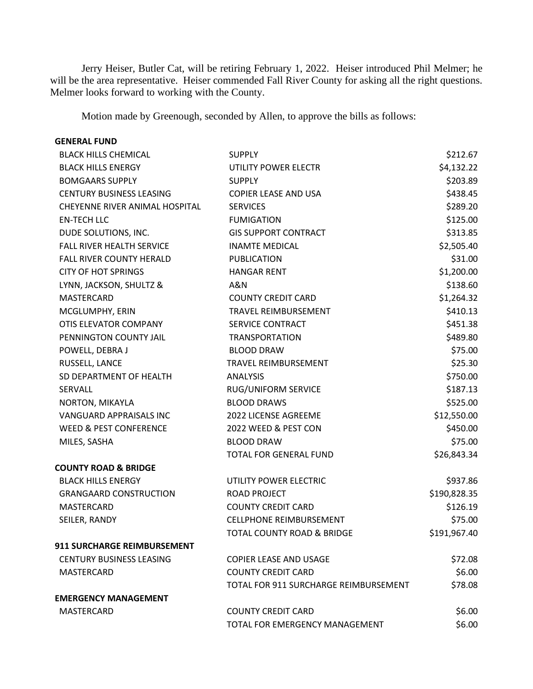Jerry Heiser, Butler Cat, will be retiring February 1, 2022. Heiser introduced Phil Melmer; he will be the area representative. Heiser commended Fall River County for asking all the right questions. Melmer looks forward to working with the County.

Motion made by Greenough, seconded by Allen, to approve the bills as follows:

# **GENERAL FUND** BLACK HILLS CHEMICAL **SUPPLY** SUPPLY **SUPPLY SALES ASSESSED ASSESSED ASSESSED ASSESSED ASSESSED ASSESSED ASSESSED ASSESSED ASSESSED ASSESSED ASSESSED AND IN A SECOND ASSESSED ASSESSED ASSESSED ASSESSED ASSESSED ASSESSED** BLACK HILLS ENERGY **UTILITY POWER ELECTR** \$4,132.22

| <b>BOMGAARS SUPPLY</b>             | <b>SUPPLY</b>                         | \$203.89     |
|------------------------------------|---------------------------------------|--------------|
| <b>CENTURY BUSINESS LEASING</b>    | COPIER LEASE AND USA                  | \$438.45     |
| CHEYENNE RIVER ANIMAL HOSPITAL     | <b>SERVICES</b>                       | \$289.20     |
| <b>EN-TECH LLC</b>                 | <b>FUMIGATION</b>                     | \$125.00     |
| DUDE SOLUTIONS, INC.               | <b>GIS SUPPORT CONTRACT</b>           | \$313.85     |
| FALL RIVER HEALTH SERVICE          | <b>INAMTE MEDICAL</b>                 | \$2,505.40   |
| <b>FALL RIVER COUNTY HERALD</b>    | <b>PUBLICATION</b>                    | \$31.00      |
| <b>CITY OF HOT SPRINGS</b>         | <b>HANGAR RENT</b>                    | \$1,200.00   |
| LYNN, JACKSON, SHULTZ &            | A&N                                   | \$138.60     |
| MASTERCARD                         | <b>COUNTY CREDIT CARD</b>             | \$1,264.32   |
| MCGLUMPHY, ERIN                    | <b>TRAVEL REIMBURSEMENT</b>           | \$410.13     |
| OTIS ELEVATOR COMPANY              | SERVICE CONTRACT                      | \$451.38     |
| PENNINGTON COUNTY JAIL             | <b>TRANSPORTATION</b>                 | \$489.80     |
| POWELL, DEBRA J                    | <b>BLOOD DRAW</b>                     | \$75.00      |
| RUSSELL, LANCE                     | TRAVEL REIMBURSEMENT                  | \$25.30      |
| SD DEPARTMENT OF HEALTH            | <b>ANALYSIS</b>                       | \$750.00     |
| <b>SERVALL</b>                     | <b>RUG/UNIFORM SERVICE</b>            | \$187.13     |
| NORTON, MIKAYLA                    | <b>BLOOD DRAWS</b>                    | \$525.00     |
| VANGUARD APPRAISALS INC            | 2022 LICENSE AGREEME                  | \$12,550.00  |
| <b>WEED &amp; PEST CONFERENCE</b>  | 2022 WEED & PEST CON                  | \$450.00     |
| MILES, SASHA                       | <b>BLOOD DRAW</b>                     | \$75.00      |
|                                    | TOTAL FOR GENERAL FUND                | \$26,843.34  |
| <b>COUNTY ROAD &amp; BRIDGE</b>    |                                       |              |
| <b>BLACK HILLS ENERGY</b>          | UTILITY POWER ELECTRIC                | \$937.86     |
| <b>GRANGAARD CONSTRUCTION</b>      | <b>ROAD PROJECT</b>                   | \$190,828.35 |
| MASTERCARD                         | <b>COUNTY CREDIT CARD</b>             | \$126.19     |
| SEILER, RANDY                      | <b>CELLPHONE REIMBURSEMENT</b>        | \$75.00      |
|                                    | <b>TOTAL COUNTY ROAD &amp; BRIDGE</b> | \$191,967.40 |
| <b>911 SURCHARGE REIMBURSEMENT</b> |                                       |              |
| <b>CENTURY BUSINESS LEASING</b>    | <b>COPIER LEASE AND USAGE</b>         | \$72.08      |
| MASTERCARD                         | <b>COUNTY CREDIT CARD</b>             | \$6.00       |
|                                    | TOTAL FOR 911 SURCHARGE REIMBURSEMENT | \$78.08      |
| <b>EMERGENCY MANAGEMENT</b>        |                                       |              |
| <b>MASTERCARD</b>                  | <b>COUNTY CREDIT CARD</b>             | \$6.00       |
|                                    | TOTAL FOR EMERGENCY MANAGEMENT        | \$6.00       |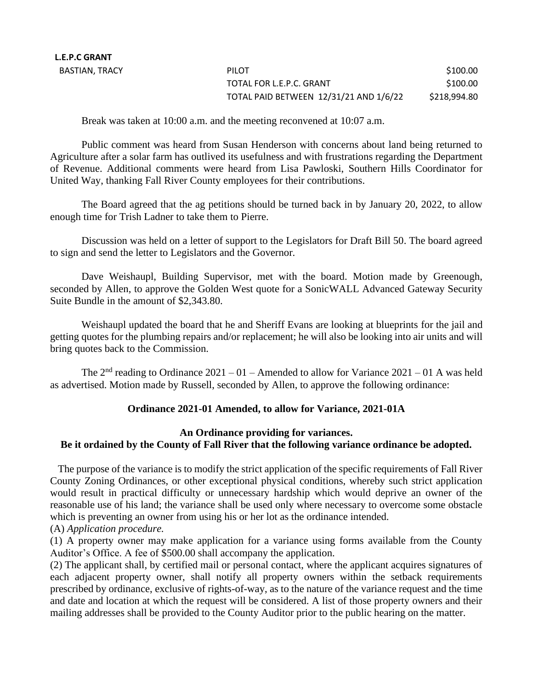| PILOT                                  | \$100.00     |
|----------------------------------------|--------------|
| TOTAL FOR L.E.P.C. GRANT               | \$100.00     |
| TOTAL PAID BETWEEN 12/31/21 AND 1/6/22 | \$218,994.80 |

Break was taken at 10:00 a.m. and the meeting reconvened at 10:07 a.m.

Public comment was heard from Susan Henderson with concerns about land being returned to Agriculture after a solar farm has outlived its usefulness and with frustrations regarding the Department of Revenue. Additional comments were heard from Lisa Pawloski, Southern Hills Coordinator for United Way, thanking Fall River County employees for their contributions.

The Board agreed that the ag petitions should be turned back in by January 20, 2022, to allow enough time for Trish Ladner to take them to Pierre.

Discussion was held on a letter of support to the Legislators for Draft Bill 50. The board agreed to sign and send the letter to Legislators and the Governor.

Dave Weishaupl, Building Supervisor, met with the board. Motion made by Greenough, seconded by Allen, to approve the Golden West quote for a SonicWALL Advanced Gateway Security Suite Bundle in the amount of \$2,343.80.

Weishaupl updated the board that he and Sheriff Evans are looking at blueprints for the jail and getting quotes for the plumbing repairs and/or replacement; he will also be looking into air units and will bring quotes back to the Commission.

The  $2<sup>nd</sup>$  reading to Ordinance  $2021 - 01$  – Amended to allow for Variance  $2021 - 01$  A was held as advertised. Motion made by Russell, seconded by Allen, to approve the following ordinance:

# **Ordinance 2021-01 Amended, to allow for Variance, 2021-01A**

# **An Ordinance providing for variances. Be it ordained by the County of Fall River that the following variance ordinance be adopted.**

 The purpose of the variance is to modify the strict application of the specific requirements of Fall River County Zoning Ordinances, or other exceptional physical conditions, whereby such strict application would result in practical difficulty or unnecessary hardship which would deprive an owner of the reasonable use of his land; the variance shall be used only where necessary to overcome some obstacle which is preventing an owner from using his or her lot as the ordinance intended.

# (A) *Application procedure.*

(1) A property owner may make application for a variance using forms available from the County Auditor's Office. A fee of \$500.00 shall accompany the application.

(2) The applicant shall, by certified mail or personal contact, where the applicant acquires signatures of each adjacent property owner, shall notify all property owners within the setback requirements prescribed by ordinance, exclusive of rights-of-way, as to the nature of the variance request and the time and date and location at which the request will be considered. A list of those property owners and their mailing addresses shall be provided to the County Auditor prior to the public hearing on the matter.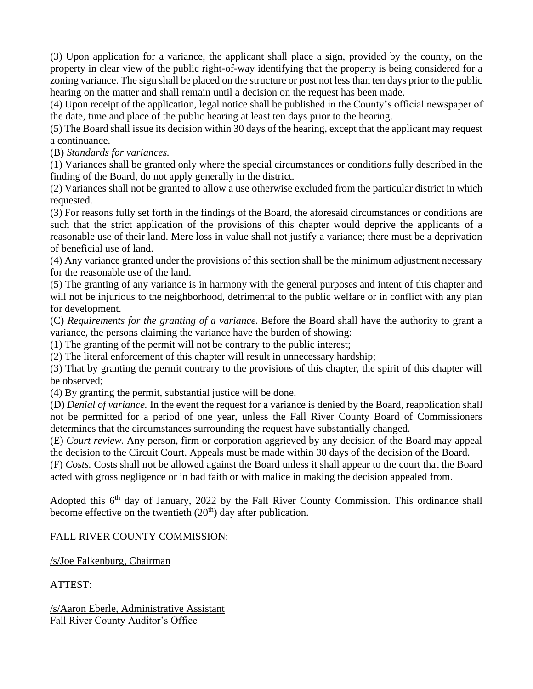(3) Upon application for a variance, the applicant shall place a sign, provided by the county, on the property in clear view of the public right-of-way identifying that the property is being considered for a zoning variance. The sign shall be placed on the structure or post not less than ten days prior to the public hearing on the matter and shall remain until a decision on the request has been made.

(4) Upon receipt of the application, legal notice shall be published in the County's official newspaper of the date, time and place of the public hearing at least ten days prior to the hearing.

(5) The Board shall issue its decision within 30 days of the hearing, except that the applicant may request a continuance.

(B) *Standards for variances.*

(1) Variances shall be granted only where the special circumstances or conditions fully described in the finding of the Board, do not apply generally in the district.

(2) Variances shall not be granted to allow a use otherwise excluded from the particular district in which requested.

(3) For reasons fully set forth in the findings of the Board, the aforesaid circumstances or conditions are such that the strict application of the provisions of this chapter would deprive the applicants of a reasonable use of their land. Mere loss in value shall not justify a variance; there must be a deprivation of beneficial use of land.

(4) Any variance granted under the provisions of this section shall be the minimum adjustment necessary for the reasonable use of the land.

(5) The granting of any variance is in harmony with the general purposes and intent of this chapter and will not be injurious to the neighborhood, detrimental to the public welfare or in conflict with any plan for development.

(C) *Requirements for the granting of a variance.* Before the Board shall have the authority to grant a variance, the persons claiming the variance have the burden of showing:

(1) The granting of the permit will not be contrary to the public interest;

(2) The literal enforcement of this chapter will result in unnecessary hardship;

(3) That by granting the permit contrary to the provisions of this chapter, the spirit of this chapter will be observed;

(4) By granting the permit, substantial justice will be done.

(D) *Denial of variance.* In the event the request for a variance is denied by the Board, reapplication shall not be permitted for a period of one year, unless the Fall River County Board of Commissioners determines that the circumstances surrounding the request have substantially changed.

(E) *Court review.* Any person, firm or corporation aggrieved by any decision of the Board may appeal the decision to the Circuit Court. Appeals must be made within 30 days of the decision of the Board.

(F) *Costs.* Costs shall not be allowed against the Board unless it shall appear to the court that the Board acted with gross negligence or in bad faith or with malice in making the decision appealed from.

Adopted this  $6<sup>th</sup>$  day of January, 2022 by the Fall River County Commission. This ordinance shall become effective on the twentieth  $(20<sup>th</sup>)$  day after publication.

# FALL RIVER COUNTY COMMISSION:

/s/Joe Falkenburg, Chairman

ATTEST:

/s/Aaron Eberle, Administrative Assistant Fall River County Auditor's Office